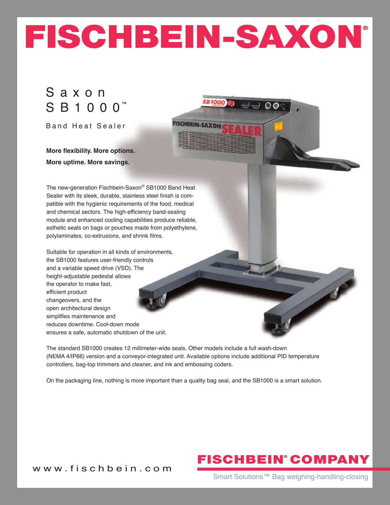# **FISCHBEIN-SAXON®**

**FISCHBEIN-SAXO** 

## S a x o n S B 1 0 0 0<sup>™</sup>

Band Heat Sealer

**More flexibility. More options. More uptime. More savings.**

The new-generation Fischbein-Saxon® SB1000 Band Heat Sealer with its sleek, durable, stainless steel finish is compatible with the hygienic requirements of the food, medical and chemical sectors. The high-efficiency band-sealing module and enhanced cooling capabilities produce reliable, esthetic seals on bags or pouches made from polyethylene, polylaminates, co-extrusions, and shrink films.

Suitable for operation in all kinds of environments, the SB1000 features user-friendly controls and a variable speed drive (VSD). The height-adjustable pedestal allows the operator to make fast, efficient product changeovers, and the open architectural design simplifies maintenance and reduces downtime. Cool-down mode ensures a safe, automatic shutdown of the unit.

The standard SB1000 creates 12 millimeter-wide seals. Other models include a full wash-down (NEMA 4/IP66) version and a conveyor-integrated unit. Available options include additional PID temperature controllers, bag-top trimmers and cleaner, and ink and embossing coders.

On the packaging line, nothing is more important than a quality bag seal, and the SB1000 is a smart solution.

# **FISCHBEIN COMPANY ®**

w w w . f i s c h b e i n . c o m

Smart Solutions™ Bag weighing-handling-closing